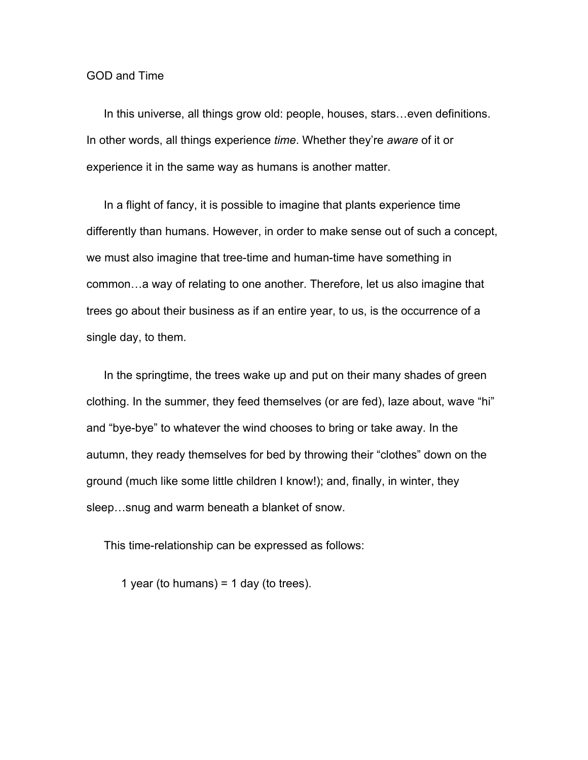## GOD and Time

In this universe, all things grow old: people, houses, stars…even definitions. In other words, all things experience *time*. Whether they're *aware* of it or experience it in the same way as humans is another matter.

In a flight of fancy, it is possible to imagine that plants experience time differently than humans. However, in order to make sense out of such a concept, we must also imagine that tree-time and human-time have something in common…a way of relating to one another. Therefore, let us also imagine that trees go about their business as if an entire year, to us, is the occurrence of a single day, to them.

In the springtime, the trees wake up and put on their many shades of green clothing. In the summer, they feed themselves (or are fed), laze about, wave "hi" and "bye-bye" to whatever the wind chooses to bring or take away. In the autumn, they ready themselves for bed by throwing their "clothes" down on the ground (much like some little children I know!); and, finally, in winter, they sleep…snug and warm beneath a blanket of snow.

This time-relationship can be expressed as follows:

1 year (to humans) =  $1$  day (to trees).